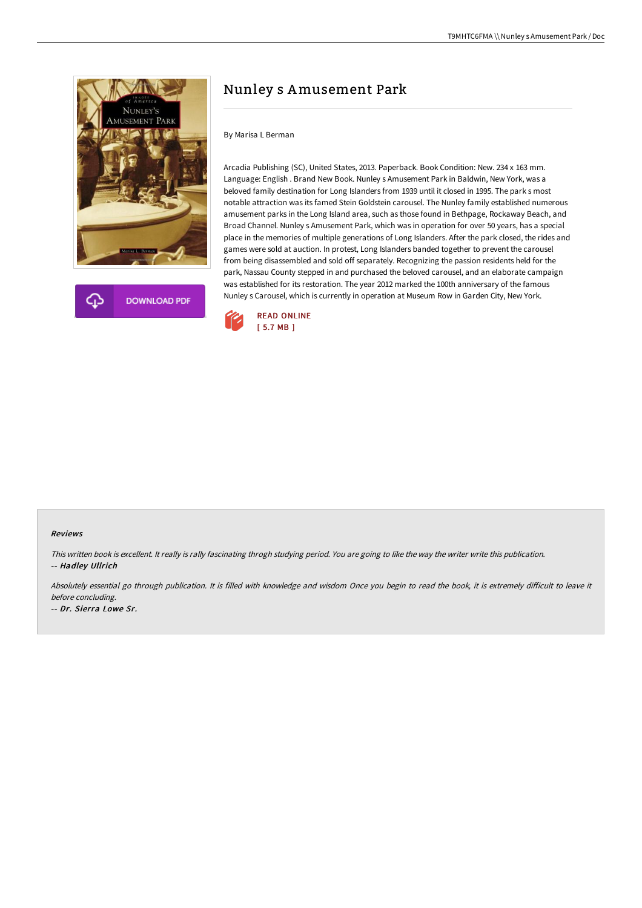



# Nunley s Amusement Park

### By Marisa L Berman

Arcadia Publishing (SC), United States, 2013. Paperback. Book Condition: New. 234 x 163 mm. Language: English . Brand New Book. Nunley s Amusement Park in Baldwin, New York, was a beloved family destination for Long Islanders from 1939 until it closed in 1995. The park s most notable attraction was its famed Stein Goldstein carousel. The Nunley family established numerous amusement parks in the Long Island area, such as those found in Bethpage, Rockaway Beach, and Broad Channel. Nunley s Amusement Park, which was in operation for over 50 years, has a special place in the memories of multiple generations of Long Islanders. After the park closed, the rides and games were sold at auction. In protest, Long Islanders banded together to prevent the carousel from being disassembled and sold off separately. Recognizing the passion residents held for the park, Nassau County stepped in and purchased the beloved carousel, and an elaborate campaign was established for its restoration. The year 2012 marked the 100th anniversary of the famous Nunley s Carousel, which is currently in operation at Museum Row in Garden City, New York.



#### Reviews

This written book is excellent. It really is rally fascinating throgh studying period. You are going to like the way the writer write this publication. -- Hadley Ullrich

Absolutely essential go through publication. It is filled with knowledge and wisdom Once you begin to read the book, it is extremely difficult to leave it before concluding.

-- Dr. Sierra Lowe Sr.